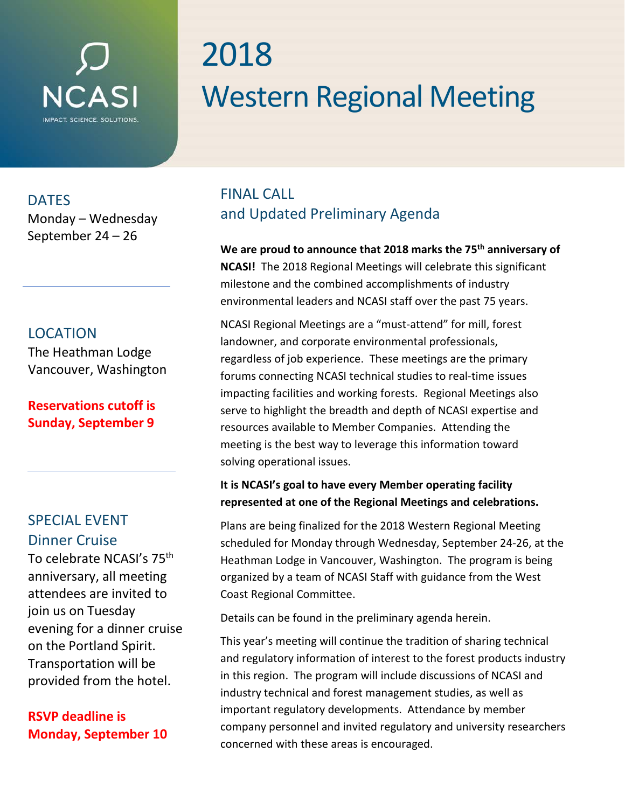# **NCA**

# 2018 Western Regional Meeting

**DATES** 

Monday – Wednesday September 24 – 26

#### LOCATION

The Heathman Lodge Vancouver, Washington

#### **Reservations cutoff is Sunday, September 9**

# SPECIAL EVENT Dinner Cruise

To celebrate NCASI's 75<sup>th</sup> anniversary, all meeting attendees are invited to join us on Tuesday evening for a dinner cruise on the Portland Spirit. Transportation will be provided from the hotel.

#### **RSVP deadline is Monday, September 10**

# FINAL CALL and Updated Preliminary Agenda

**We are proud to announce that 2018 marks the 75th anniversary of NCASI!** The 2018 Regional Meetings will celebrate this significant milestone and the combined accomplishments of industry environmental leaders and NCASI staff over the past 75 years.

NCASI Regional Meetings are a "must-attend" for mill, forest landowner, and corporate environmental professionals, regardless of job experience. These meetings are the primary forums connecting NCASI technical studies to real-time issues impacting facilities and working forests. Regional Meetings also serve to highlight the breadth and depth of NCASI expertise and resources available to Member Companies. Attending the meeting is the best way to leverage this information toward solving operational issues.

#### **It is NCASI's goal to have every Member operating facility represented at one of the Regional Meetings and celebrations.**

Plans are being finalized for the 2018 Western Regional Meeting scheduled for Monday through Wednesday, September 24-26, at the Heathman Lodge in Vancouver, Washington. The program is being organized by a team of NCASI Staff with guidance from the West Coast Regional Committee.

Details can be found in the preliminary agenda herein.

This year's meeting will continue the tradition of sharing technical and regulatory information of interest to the forest products industry in this region. The program will include discussions of NCASI and industry technical and forest management studies, as well as important regulatory developments. Attendance by member company personnel and invited regulatory and university researchers concerned with these areas is encouraged.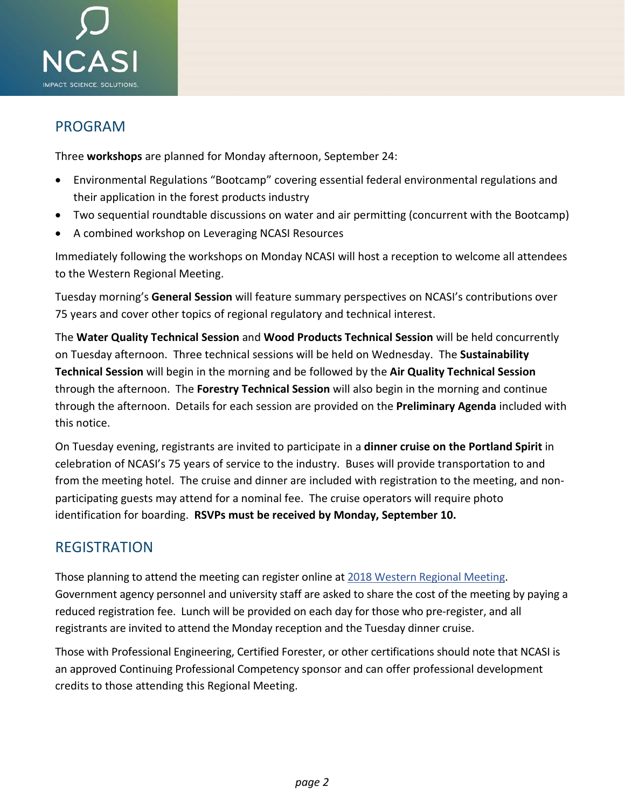

#### PROGRAM

Three **workshops** are planned for Monday afternoon, September 24:

- Environmental Regulations "Bootcamp" covering essential federal environmental regulations and their application in the forest products industry
- Two sequential roundtable discussions on water and air permitting (concurrent with the Bootcamp)
- A combined workshop on Leveraging NCASI Resources

Immediately following the workshops on Monday NCASI will host a reception to welcome all attendees to the Western Regional Meeting.

Tuesday morning's **General Session** will feature summary perspectives on NCASI's contributions over 75 years and cover other topics of regional regulatory and technical interest.

The **Water Quality Technical Session** and **Wood Products Technical Session** will be held concurrently on Tuesday afternoon. Three technical sessions will be held on Wednesday. The **Sustainability Technical Session** will begin in the morning and be followed by the **Air Quality Technical Session** through the afternoon. The **Forestry Technical Session** will also begin in the morning and continue through the afternoon. Details for each session are provided on the **Preliminary Agenda** included with this notice.

On Tuesday evening, registrants are invited to participate in a **dinner cruise on the Portland Spirit** in celebration of NCASI's 75 years of service to the industry. Buses will provide transportation to and from the meeting hotel. The cruise and dinner are included with registration to the meeting, and nonparticipating guests may attend for a nominal fee. The cruise operators will require photo identification for boarding. **RSVPs must be received by Monday, September 10.**

#### REGISTRATION

Those planning to attend the meeting can register online at [2018 Western Regional Meeting.](https://www.regonline.com/2018ncasiwrm) Government agency personnel and university staff are asked to share the cost of the meeting by paying a reduced registration fee. Lunch will be provided on each day for those who pre-register, and all registrants are invited to attend the Monday reception and the Tuesday dinner cruise.

Those with Professional Engineering, Certified Forester, or other certifications should note that NCASI is an approved Continuing Professional Competency sponsor and can offer professional development credits to those attending this Regional Meeting.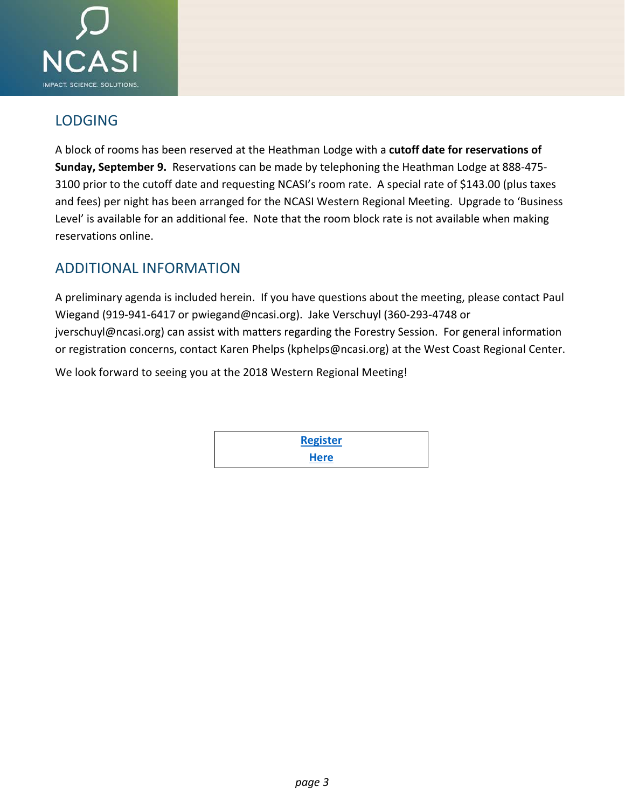

#### **LODGING**

A block of rooms has been reserved at the Heathman Lodge with a **cutoff date for reservations of Sunday, September 9.** Reservations can be made by telephoning the Heathman Lodge at 888-475- 3100 prior to the cutoff date and requesting NCASI's room rate. A special rate of \$143.00 (plus taxes and fees) per night has been arranged for the NCASI Western Regional Meeting. Upgrade to 'Business Level' is available for an additional fee. Note that the room block rate is not available when making reservations online.

#### ADDITIONAL INFORMATION

A preliminary agenda is included herein. If you have questions about the meeting, please contact Paul Wiegand (919-941-6417 or pwiegand@ncasi.org). Jake Verschuyl (360-293-4748 or jverschuyl@ncasi.org) can assist with matters regarding the Forestry Session. For general information or registration concerns, contact Karen Phelps (kphelps@ncasi.org) at the West Coast Regional Center.

We look forward to seeing you at the 2018 Western Regional Meeting!

**[Register](https://www.regonline.com/2018ncasiwrm) [Here](https://www.regonline.com/2018ncasiwrm)**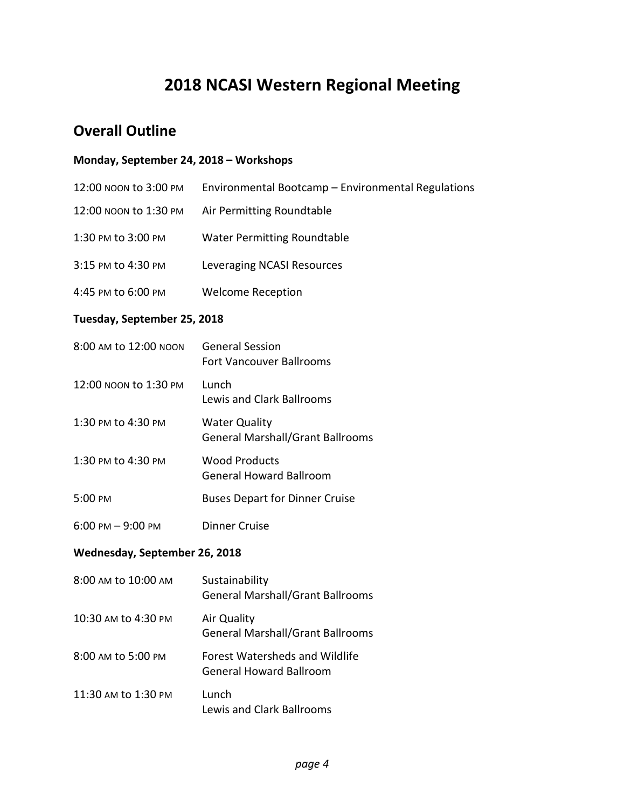# **2018 NCASI Western Regional Meeting**

#### **Overall Outline**

#### **Monday, September 24, 2018 – Workshops**

| 12:00 NOON to 3:00 PM               | Environmental Bootcamp - Environmental Regulations              |  |
|-------------------------------------|-----------------------------------------------------------------|--|
| 12:00 NOON to 1:30 PM               | Air Permitting Roundtable                                       |  |
| 1:30 PM to 3:00 PM                  | <b>Water Permitting Roundtable</b>                              |  |
| 3:15 PM to 4:30 PM                  | Leveraging NCASI Resources                                      |  |
| 4:45 PM to 6:00 PM                  | <b>Welcome Reception</b>                                        |  |
| Tuesday, September 25, 2018         |                                                                 |  |
| 8:00 AM to 12:00 NOON               | <b>General Session</b><br><b>Fort Vancouver Ballrooms</b>       |  |
| 12:00 NOON to 1:30 PM               | Lunch<br><b>Lewis and Clark Ballrooms</b>                       |  |
| 1:30 PM to 4:30 PM                  | <b>Water Quality</b><br><b>General Marshall/Grant Ballrooms</b> |  |
| 1:30 PM to 4:30 PM                  | <b>Wood Products</b><br><b>General Howard Ballroom</b>          |  |
| 5:00 PM                             | <b>Buses Depart for Dinner Cruise</b>                           |  |
| $6:00 \text{ PM} - 9:00 \text{ PM}$ | <b>Dinner Cruise</b>                                            |  |
| Wednesday, September 26, 2018       |                                                                 |  |
| 8:00 AM to 10:00 AM                 | Sustainability                                                  |  |

|                     | ------------<br><b>General Marshall/Grant Ballrooms</b>                 |
|---------------------|-------------------------------------------------------------------------|
| 10:30 AM to 4:30 PM | Air Quality<br><b>General Marshall/Grant Ballrooms</b>                  |
| 8:00 AM to 5:00 PM  | <b>Forest Watersheds and Wildlife</b><br><b>General Howard Ballroom</b> |
| 11:30 AM to 1:30 PM | Lunch<br>Lewis and Clark Ballrooms                                      |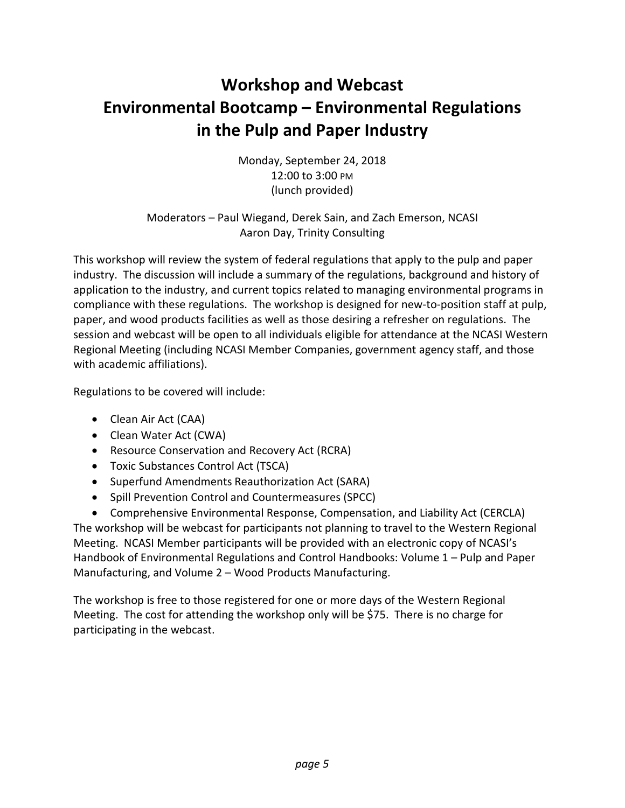# **Workshop and Webcast Environmental Bootcamp – Environmental Regulations in the Pulp and Paper Industry**

Monday, September 24, 2018 12:00 to 3:00 PM (lunch provided)

Moderators – Paul Wiegand, Derek Sain, and Zach Emerson, NCASI Aaron Day, Trinity Consulting

This workshop will review the system of federal regulations that apply to the pulp and paper industry. The discussion will include a summary of the regulations, background and history of application to the industry, and current topics related to managing environmental programs in compliance with these regulations. The workshop is designed for new-to-position staff at pulp, paper, and wood products facilities as well as those desiring a refresher on regulations. The session and webcast will be open to all individuals eligible for attendance at the NCASI Western Regional Meeting (including NCASI Member Companies, government agency staff, and those with academic affiliations).

Regulations to be covered will include:

- Clean Air Act (CAA)
- Clean Water Act (CWA)
- Resource Conservation and Recovery Act (RCRA)
- Toxic Substances Control Act (TSCA)
- Superfund Amendments Reauthorization Act (SARA)
- Spill Prevention Control and Countermeasures (SPCC)
- Comprehensive Environmental Response, Compensation, and Liability Act (CERCLA)

The workshop will be webcast for participants not planning to travel to the Western Regional Meeting. NCASI Member participants will be provided with an electronic copy of NCASI's Handbook of Environmental Regulations and Control Handbooks: Volume 1 – Pulp and Paper Manufacturing, and Volume 2 – Wood Products Manufacturing.

The workshop is free to those registered for one or more days of the Western Regional Meeting. The cost for attending the workshop only will be \$75. There is no charge for participating in the webcast.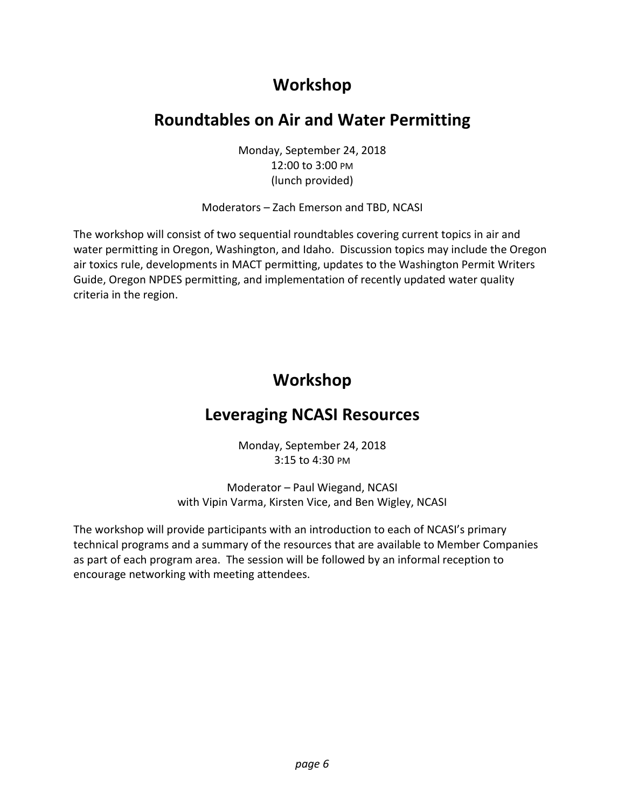# **Workshop**

# **Roundtables on Air and Water Permitting**

Monday, September 24, 2018 12:00 to 3:00 PM (lunch provided)

Moderators – Zach Emerson and TBD, NCASI

The workshop will consist of two sequential roundtables covering current topics in air and water permitting in Oregon, Washington, and Idaho. Discussion topics may include the Oregon air toxics rule, developments in MACT permitting, updates to the Washington Permit Writers Guide, Oregon NPDES permitting, and implementation of recently updated water quality criteria in the region.

# **Workshop**

# **Leveraging NCASI Resources**

Monday, September 24, 2018 3:15 to 4:30 PM

Moderator – Paul Wiegand, NCASI with Vipin Varma, Kirsten Vice, and Ben Wigley, NCASI

The workshop will provide participants with an introduction to each of NCASI's primary technical programs and a summary of the resources that are available to Member Companies as part of each program area. The session will be followed by an informal reception to encourage networking with meeting attendees.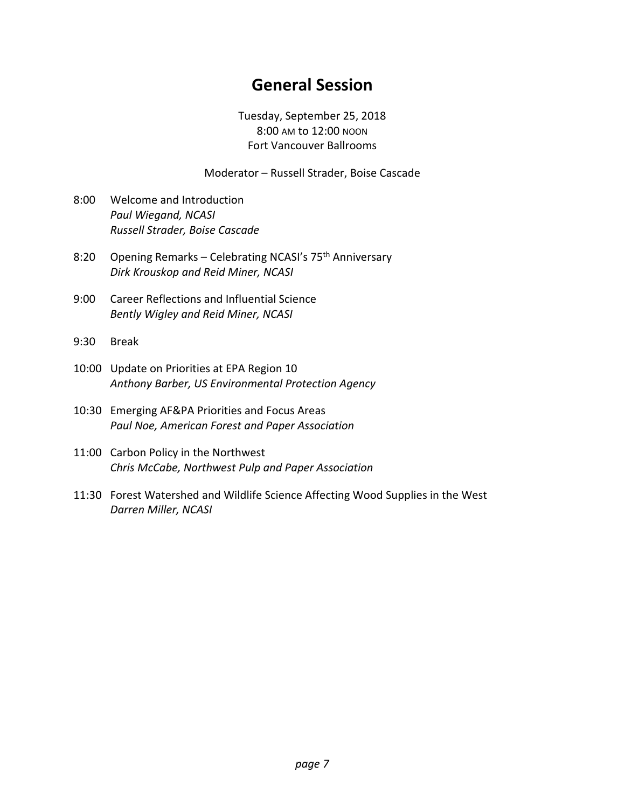# **General Session**

Tuesday, September 25, 2018 8:00 AM to 12:00 NOON Fort Vancouver Ballrooms

Moderator – Russell Strader, Boise Cascade

- 8:00 Welcome and Introduction *Paul Wiegand, NCASI Russell Strader, Boise Cascade*
- 8:20 Opening Remarks Celebrating NCASI's 75<sup>th</sup> Anniversary *Dirk Krouskop and Reid Miner, NCASI*
- 9:00 Career Reflections and Influential Science *Bently Wigley and Reid Miner, NCASI*
- 9:30 Break
- 10:00 Update on Priorities at EPA Region 10 *Anthony Barber, US Environmental Protection Agency*
- 10:30 Emerging AF&PA Priorities and Focus Areas *Paul Noe, American Forest and Paper Association*
- 11:00 Carbon Policy in the Northwest *Chris McCabe, Northwest Pulp and Paper Association*
- 11:30 Forest Watershed and Wildlife Science Affecting Wood Supplies in the West *Darren Miller, NCASI*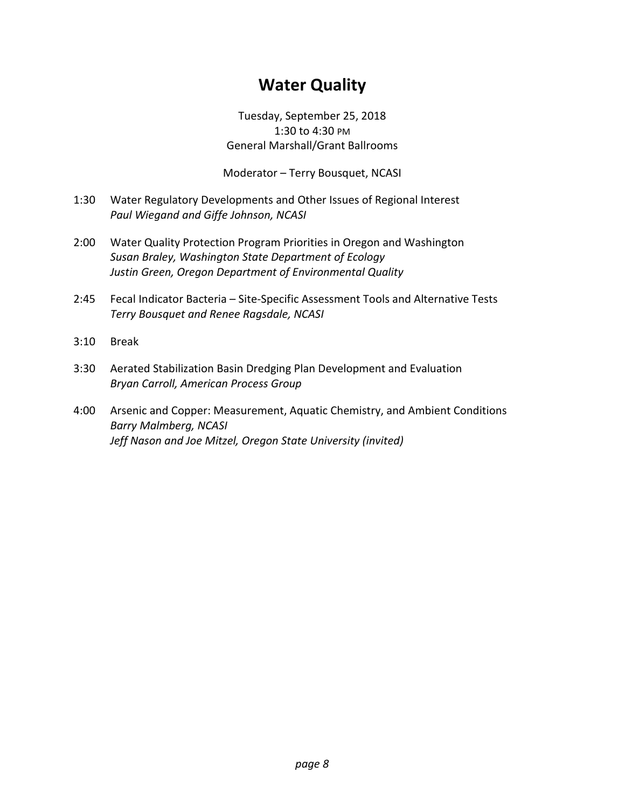# **Water Quality**

Tuesday, September 25, 2018 1:30 to 4:30 PM General Marshall/Grant Ballrooms

Moderator – Terry Bousquet, NCASI

- 1:30 Water Regulatory Developments and Other Issues of Regional Interest *Paul Wiegand and Giffe Johnson, NCASI*
- 2:00 Water Quality Protection Program Priorities in Oregon and Washington *Susan Braley, Washington State Department of Ecology Justin Green, Oregon Department of Environmental Quality*
- 2:45 Fecal Indicator Bacteria Site-Specific Assessment Tools and Alternative Tests *Terry Bousquet and Renee Ragsdale, NCASI*
- 3:10 Break
- 3:30 Aerated Stabilization Basin Dredging Plan Development and Evaluation *Bryan Carroll, American Process Group*
- 4:00 Arsenic and Copper: Measurement, Aquatic Chemistry, and Ambient Conditions *Barry Malmberg, NCASI Jeff Nason and Joe Mitzel, Oregon State University (invited)*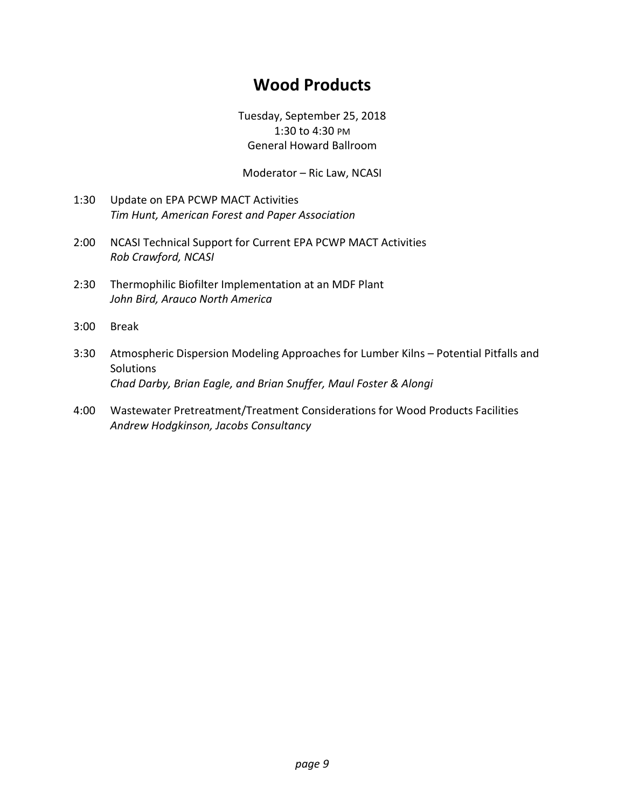# **Wood Products**

Tuesday, September 25, 2018 1:30 to 4:30 PM General Howard Ballroom

Moderator – Ric Law, NCASI

- 1:30 Update on EPA PCWP MACT Activities *Tim Hunt, American Forest and Paper Association*
- 2:00 NCASI Technical Support for Current EPA PCWP MACT Activities *Rob Crawford, NCASI*
- 2:30 Thermophilic Biofilter Implementation at an MDF Plant *John Bird, Arauco North America*
- 3:00 Break
- 3:30 Atmospheric Dispersion Modeling Approaches for Lumber Kilns Potential Pitfalls and **Solutions** *Chad Darby, Brian Eagle, and Brian Snuffer, Maul Foster & Alongi*
- 4:00 Wastewater Pretreatment/Treatment Considerations for Wood Products Facilities *Andrew Hodgkinson, Jacobs Consultancy*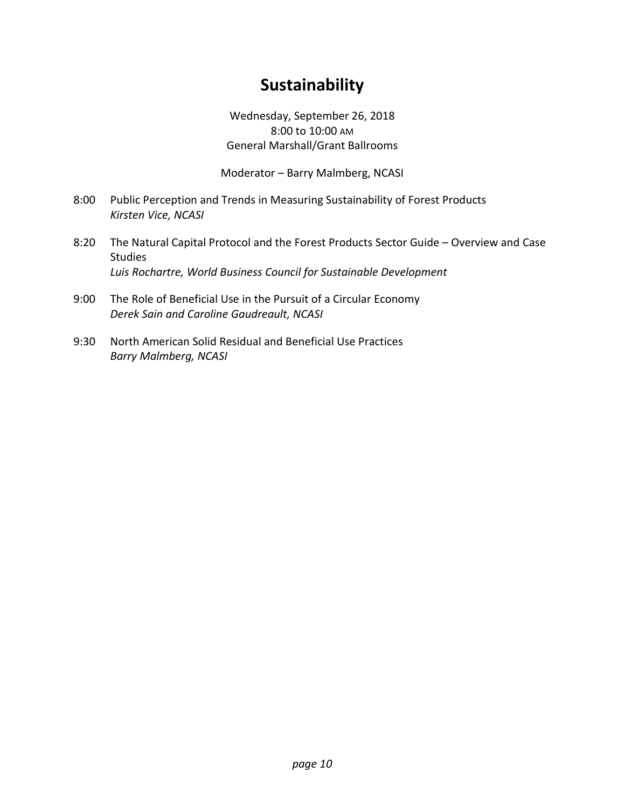# **Sustainability**

Wednesday, September 26, 2018 8:00 to 10:00 AM General Marshall/Grant Ballrooms

Moderator – Barry Malmberg, NCASI

- 8:00 Public Perception and Trends in Measuring Sustainability of Forest Products *Kirsten Vice, NCASI*
- 8:20 The Natural Capital Protocol and the Forest Products Sector Guide Overview and Case Studies *Luis Rochartre, World Business Council for Sustainable Development*
- 9:00 The Role of Beneficial Use in the Pursuit of a Circular Economy *Derek Sain and Caroline Gaudreault, NCASI*
- 9:30 North American Solid Residual and Beneficial Use Practices *Barry Malmberg, NCASI*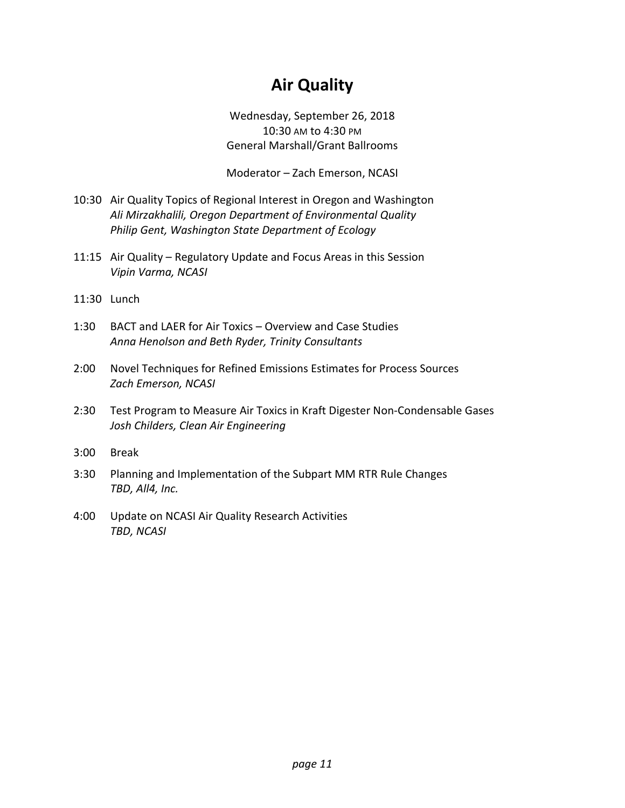# **Air Quality**

Wednesday, September 26, 2018 10:30 AM to 4:30 PM General Marshall/Grant Ballrooms

Moderator – Zach Emerson, NCASI

- 10:30 Air Quality Topics of Regional Interest in Oregon and Washington *Ali Mirzakhalili, Oregon Department of Environmental Quality Philip Gent, Washington State Department of Ecology*
- 11:15 Air Quality Regulatory Update and Focus Areas in this Session *Vipin Varma, NCASI*
- 11:30 Lunch
- 1:30 BACT and LAER for Air Toxics Overview and Case Studies *Anna Henolson and Beth Ryder, Trinity Consultants*
- 2:00 Novel Techniques for Refined Emissions Estimates for Process Sources *Zach Emerson, NCASI*
- 2:30 Test Program to Measure Air Toxics in Kraft Digester Non-Condensable Gases *Josh Childers, Clean Air Engineering*
- 3:00 Break
- 3:30 Planning and Implementation of the Subpart MM RTR Rule Changes *TBD, All4, Inc.*
- 4:00 Update on NCASI Air Quality Research Activities *TBD, NCASI*